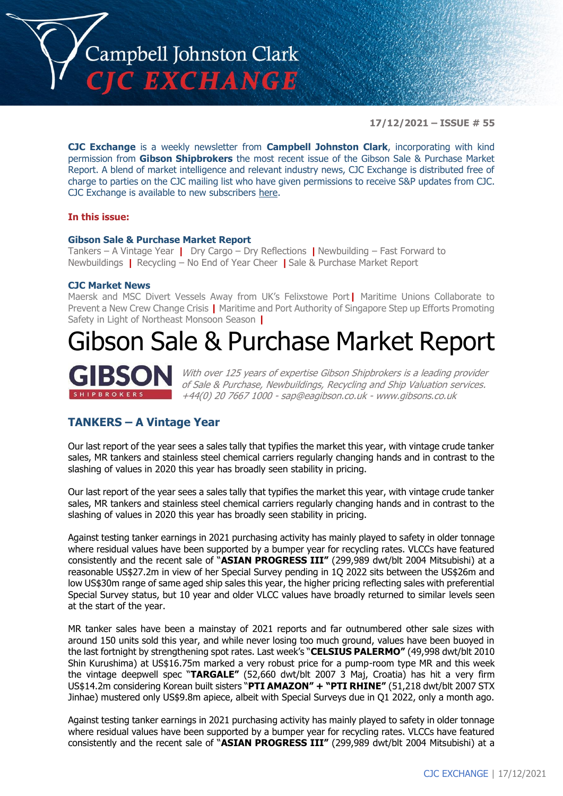

**17/12/2021 – ISSUE # 55**

**CJC Exchange** is a weekly newsletter from **Campbell Johnston Clark**, incorporating with kind permission from **Gibson Shipbrokers** the most recent issue of the Gibson Sale & Purchase Market Report. A blend of market intelligence and relevant industry news, CJC Exchange is distributed free of charge to parties on the CJC mailing list who have given permissions to receive S&P updates from CJC. CJC Exchange is available to new subscribers [here.](mailto:jamesc@cjclaw.com?subject=CJC%20Exchange%20sign-up)

#### **In this issue:**

#### **Gibson Sale & Purchase Market Report**

Tankers – A Vintage Year **|** Dry Cargo – Dry Reflections **|** Newbuilding – Fast Forward to Newbuildings **|** Recycling – No End of Year Cheer **|** Sale & Purchase Market Report

#### **CJC Market News**

Maersk and MSC Divert Vessels Away from UK's Felixstowe Port**|** Maritime Unions Collaborate to Prevent a New Crew Change Crisis **|** Maritime and Port Authority of Singapore Step up Efforts Promoting Safety in Light of Northeast Monsoon Season **|**

# Gibson Sale & Purchase Market Report



With over 125 years of expertise Gibson Shipbrokers is a leading provider of Sale & Purchase, Newbuildings, Recycling and Ship Valuation services. +44(0) 20 7667 1000 - [sap@eagibson.co.uk](mailto:sap@eagibson.co.uk) - [www.gibsons.co.uk](https://protect-eu.mimecast.com/s/VO6nCGZzRS60KqcK1jQh/)

### **TANKERS – A Vintage Year**

Our last report of the year sees a sales tally that typifies the market this year, with vintage crude tanker sales, MR tankers and stainless steel chemical carriers regularly changing hands and in contrast to the slashing of values in 2020 this year has broadly seen stability in pricing.

Our last report of the year sees a sales tally that typifies the market this year, with vintage crude tanker sales, MR tankers and stainless steel chemical carriers regularly changing hands and in contrast to the slashing of values in 2020 this year has broadly seen stability in pricing.

Against testing tanker earnings in 2021 purchasing activity has mainly played to safety in older tonnage where residual values have been supported by a bumper year for recycling rates. VLCCs have featured consistently and the recent sale of "**ASIAN PROGRESS III"** (299,989 dwt/blt 2004 Mitsubishi) at a reasonable US\$27.2m in view of her Special Survey pending in 1Q 2022 sits between the US\$26m and low US\$30m range of same aged ship sales this year, the higher pricing reflecting sales with preferential Special Survey status, but 10 year and older VLCC values have broadly returned to similar levels seen at the start of the year.

MR tanker sales have been a mainstay of 2021 reports and far outnumbered other sale sizes with around 150 units sold this year, and while never losing too much ground, values have been buoyed in the last fortnight by strengthening spot rates. Last week's "**CELSIUS PALERMO"** (49,998 dwt/blt 2010 Shin Kurushima) at US\$16.75m marked a very robust price for a pump-room type MR and this week the vintage deepwell spec "**TARGALE"** (52,660 dwt/blt 2007 3 Maj, Croatia) has hit a very firm US\$14.2m considering Korean built sisters "**PTI AMAZON" + "PTI RHINE"** (51,218 dwt/blt 2007 STX Jinhae) mustered only US\$9.8m apiece, albeit with Special Surveys due in Q1 2022, only a month ago.

Against testing tanker earnings in 2021 purchasing activity has mainly played to safety in older tonnage where residual values have been supported by a bumper year for recycling rates. VLCCs have featured consistently and the recent sale of "**ASIAN PROGRESS III"** (299,989 dwt/blt 2004 Mitsubishi) at a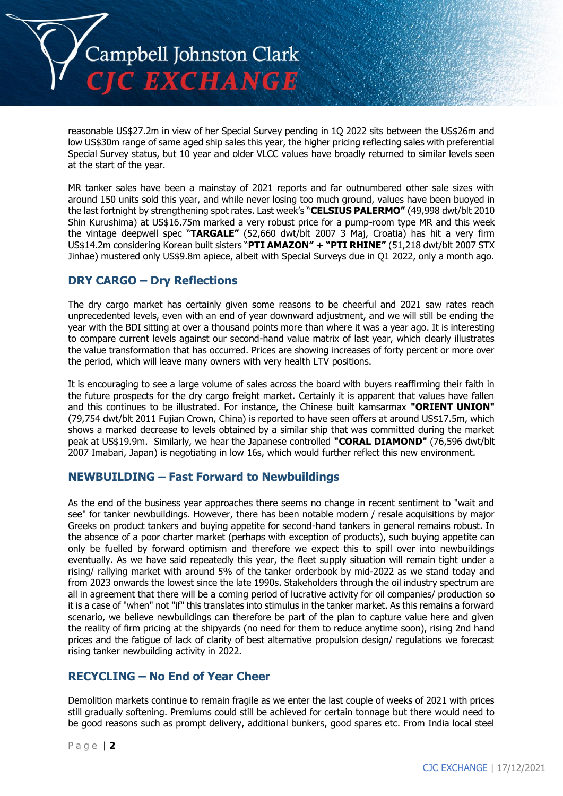

reasonable US\$27.2m in view of her Special Survey pending in 1Q 2022 sits between the US\$26m and low US\$30m range of same aged ship sales this year, the higher pricing reflecting sales with preferential Special Survey status, but 10 year and older VLCC values have broadly returned to similar levels seen at the start of the year.

MR tanker sales have been a mainstay of 2021 reports and far outnumbered other sale sizes with around 150 units sold this year, and while never losing too much ground, values have been buoyed in the last fortnight by strengthening spot rates. Last week's "**CELSIUS PALERMO"** (49,998 dwt/blt 2010 Shin Kurushima) at US\$16.75m marked a very robust price for a pump-room type MR and this week the vintage deepwell spec "**TARGALE"** (52,660 dwt/blt 2007 3 Maj, Croatia) has hit a very firm US\$14.2m considering Korean built sisters "**PTI AMAZON" + "PTI RHINE"** (51,218 dwt/blt 2007 STX Jinhae) mustered only US\$9.8m apiece, albeit with Special Surveys due in Q1 2022, only a month ago.

# **DRY CARGO – Dry Reflections**

The dry cargo market has certainly given some reasons to be cheerful and 2021 saw rates reach unprecedented levels, even with an end of year downward adjustment, and we will still be ending the year with the BDI sitting at over a thousand points more than where it was a year ago. It is interesting to compare current levels against our second-hand value matrix of last year, which clearly illustrates the value transformation that has occurred. Prices are showing increases of forty percent or more over the period, which will leave many owners with very health LTV positions.

It is encouraging to see a large volume of sales across the board with buyers reaffirming their faith in the future prospects for the dry cargo freight market. Certainly it is apparent that values have fallen and this continues to be illustrated. For instance, the Chinese built kamsarmax **"ORIENT UNION"** (79,754 dwt/blt 2011 Fujian Crown, China) is reported to have seen offers at around US\$17.5m, which shows a marked decrease to levels obtained by a similar ship that was committed during the market peak at US\$19.9m. Similarly, we hear the Japanese controlled **"CORAL DIAMOND"** (76,596 dwt/blt 2007 Imabari, Japan) is negotiating in low 16s, which would further reflect this new environment.

# **NEWBUILDING – Fast Forward to Newbuildings**

As the end of the business year approaches there seems no change in recent sentiment to "wait and see" for tanker newbuildings. However, there has been notable modern / resale acquisitions by major Greeks on product tankers and buying appetite for second-hand tankers in general remains robust. In the absence of a poor charter market (perhaps with exception of products), such buying appetite can only be fuelled by forward optimism and therefore we expect this to spill over into newbuildings eventually. As we have said repeatedly this year, the fleet supply situation will remain tight under a rising/ rallying market with around 5% of the tanker orderbook by mid-2022 as we stand today and from 2023 onwards the lowest since the late 1990s. Stakeholders through the oil industry spectrum are all in agreement that there will be a coming period of lucrative activity for oil companies/ production so it is a case of "when" not "if" this translates into stimulus in the tanker market. As this remains a forward scenario, we believe newbuildings can therefore be part of the plan to capture value here and given the reality of firm pricing at the shipyards (no need for them to reduce anytime soon), rising 2nd hand prices and the fatigue of lack of clarity of best alternative propulsion design/ regulations we forecast rising tanker newbuilding activity in 2022.

# **RECYCLING – No End of Year Cheer**

Demolition markets continue to remain fragile as we enter the last couple of weeks of 2021 with prices still gradually softening. Premiums could still be achieved for certain tonnage but there would need to be good reasons such as prompt delivery, additional bunkers, good spares etc. From India local steel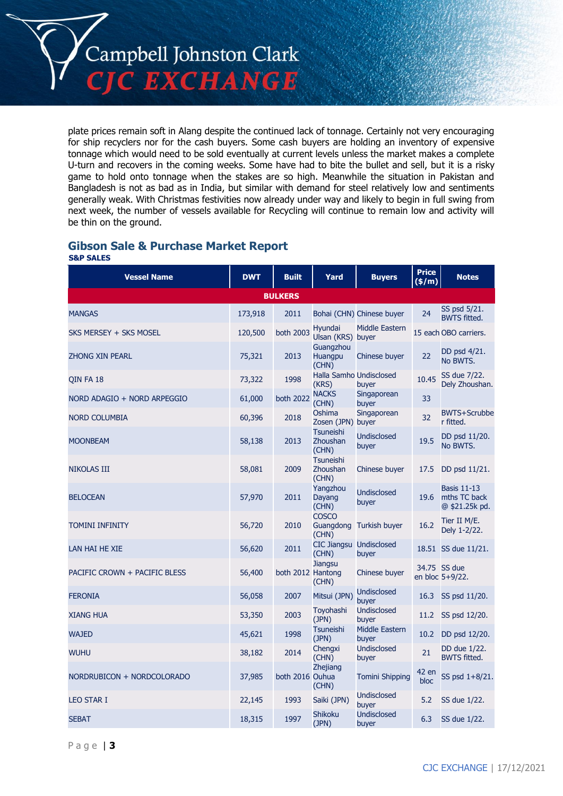Campbell Johnston Clark

**CJC EXCHANGE** 

plate prices remain soft in Alang despite the continued lack of tonnage. Certainly not very encouraging for ship recyclers nor for the cash buyers. Some cash buyers are holding an inventory of expensive tonnage which would need to be sold eventually at current levels unless the market makes a complete U-turn and recovers in the coming weeks. Some have had to bite the bullet and sell, but it is a risky game to hold onto tonnage when the stakes are so high. Meanwhile the situation in Pakistan and Bangladesh is not as bad as in India, but similar with demand for steel relatively low and sentiments generally weak. With Christmas festivities now already under way and likely to begin in full swing from next week, the number of vessels available for Recycling will continue to remain low and activity will be thin on the ground.

#### **Gibson Sale & Purchase Market Report S&P SALES**

| <b>Vessel Name</b>            | <b>DWT</b> | <b>Built</b>      | Yard                                    | <b>Buvers</b>                  | <b>Price</b><br>(\$/m) | <b>Notes</b>                                              |  |  |
|-------------------------------|------------|-------------------|-----------------------------------------|--------------------------------|------------------------|-----------------------------------------------------------|--|--|
| <b>BULKERS</b>                |            |                   |                                         |                                |                        |                                                           |  |  |
| <b>MANGAS</b>                 | 173,918    | 2011              |                                         | Bohai (CHN) Chinese buyer      | 24                     | SS psd 5/21.<br><b>BWTS fitted.</b>                       |  |  |
| SKS MERSEY + SKS MOSEL        | 120,500    | <b>both 2003</b>  | Hyundai<br>Ulsan (KRS) buyer            | Middle Eastern                 |                        | 15 each OBO carriers.                                     |  |  |
| <b>ZHONG XIN PEARL</b>        | 75,321     | 2013              | Guangzhou<br>Huangpu<br>(CHN)           | Chinese buyer                  | 22                     | DD psd 4/21.<br>No BWTS.                                  |  |  |
| QIN FA 18                     | 73,322     | 1998              | Halla Samho Undisclosed<br>(KRS)        | buyer                          | 10.45                  | SS due 7/22.<br>Dely Zhoushan.                            |  |  |
| NORD ADAGIO + NORD ARPEGGIO   | 61,000     | both 2022         | <b>NACKS</b><br>(CHN)                   | Singaporean<br>buyer           | 33                     |                                                           |  |  |
| NORD COLUMBIA                 | 60,396     | 2018              | Oshima<br>Zosen (JPN) buyer             | Singaporean                    | 32                     | BWTS+Scrubbe<br>r fitted.                                 |  |  |
| <b>MOONBEAM</b>               | 58,138     | 2013              | Tsuneishi<br>Zhoushan<br>(CHN)          | <b>Undisclosed</b><br>buyer    | 19.5                   | DD psd 11/20.<br>No BWTS.                                 |  |  |
| <b>NIKOLAS III</b>            | 58,081     | 2009              | <b>Tsuneishi</b><br>Zhoushan<br>(CHN)   | Chinese buyer                  | 17.5                   | DD psd 11/21.                                             |  |  |
| <b>BELOCEAN</b>               | 57,970     | 2011              | Yangzhou<br>Dayang<br>(CHN)             | <b>Undisclosed</b><br>buyer    |                        | <b>Basis 11-13</b><br>19.6 mths TC back<br>@ \$21.25k pd. |  |  |
| <b>TOMINI INFINITY</b>        | 56,720     | 2010              | <b>COSCO</b><br>Guangdong<br>(CHN)      | Turkish buyer                  | 16.2                   | Tier II M/E.<br>Dely 1-2/22.                              |  |  |
| LAN HAI HE XIE                | 56,620     | 2011              | <b>CIC Jiangsu Undisclosed</b><br>(CHN) | buyer                          |                        | 18.51 SS due 11/21.                                       |  |  |
| PACIFIC CROWN + PACIFIC BLESS | 56,400     | both 2012 Hantong | <b>Jiangsu</b><br>(CHN)                 | Chinese buyer                  |                        | 34.75 SS due<br>en bloc 5+9/22.                           |  |  |
| <b>FERONIA</b>                | 56,058     | 2007              | Mitsui (JPN)                            | Undisclosed<br>buyer           | 16.3                   | SS psd 11/20.                                             |  |  |
| <b>XIANG HUA</b>              | 53,350     | 2003              | Toyohashi<br>(JPN)                      | <b>Undisclosed</b><br>buyer    | 11.2                   | SS psd 12/20.                                             |  |  |
| <b>WAJED</b>                  | 45,621     | 1998              | <b>Tsuneishi</b><br>(JPN)               | <b>Middle Eastern</b><br>buver | 10.2                   | DD psd 12/20.                                             |  |  |
| <b>WUHU</b>                   | 38,182     | 2014              | Chengxi<br>(CHN)                        | Undisclosed<br>buyer           | 21                     | DD due 1/22.<br><b>BWTS fitted.</b>                       |  |  |
| NORDRUBICON + NORDCOLORADO    | 37,985     | both 2016 Ouhua   | <b>Zhejiang</b><br>(CHN)                | <b>Tomini Shipping</b>         | 42 en<br>bloc          | SS psd 1+8/21.                                            |  |  |
| <b>LEO STAR I</b>             | 22,145     | 1993              | Saiki (JPN)                             | Undisclosed<br>buyer           | 5.2                    | SS due 1/22.                                              |  |  |
| <b>SEBAT</b>                  | 18,315     | 1997              | <b>Shikoku</b><br>(JPN)                 | <b>Undisclosed</b><br>buyer    | 6.3                    | SS due 1/22.                                              |  |  |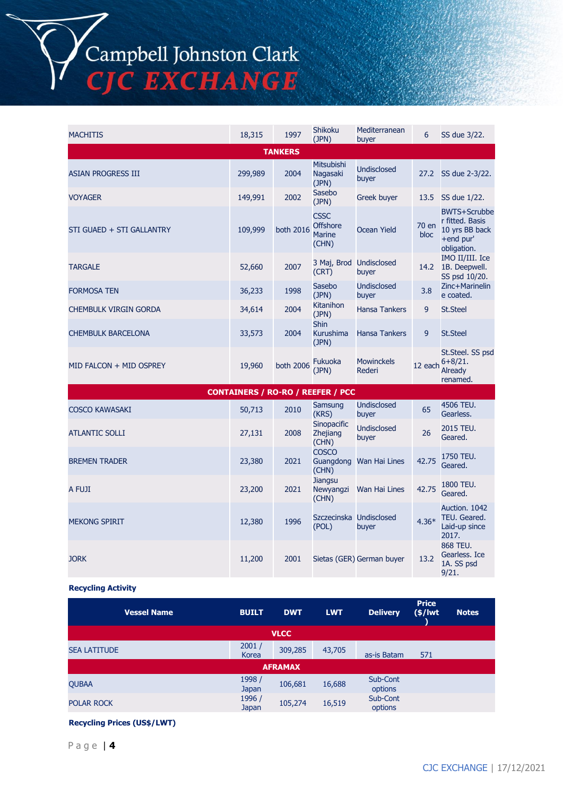# Campbell Johnston Clark<br>CJC EXCHANGE

| <b>MACHITIS</b>              | 18,315                                                                              | 1997           | <b>Shikoku</b><br>(JPN)                                  | Mediterranean<br>buyer      | 6             | SS due 3/22.                                                                         |
|------------------------------|-------------------------------------------------------------------------------------|----------------|----------------------------------------------------------|-----------------------------|---------------|--------------------------------------------------------------------------------------|
|                              |                                                                                     | <b>TANKERS</b> |                                                          |                             |               |                                                                                      |
| <b>ASIAN PROGRESS III</b>    | 299,989                                                                             | 2004           | <b>Mitsubishi</b><br>Nagasaki<br>(JPN)                   | <b>Undisclosed</b><br>buyer | 27.2          | SS due 2-3/22.                                                                       |
| <b>VOYAGER</b>               | 149,991                                                                             | 2002           | Sasebo<br>(JPN)                                          | Greek buyer                 | 13.5          | SS due 1/22.                                                                         |
| STI GUAED + STI GALLANTRY    | 109,999                                                                             | both 2016      | <b>CSSC</b><br><b>Offshore</b><br><b>Marine</b><br>(CHN) | <b>Ocean Yield</b>          | 70 en<br>bloc | <b>BWTS+Scrubbe</b><br>r fitted. Basis<br>10 yrs BB back<br>+end pur'<br>obligation. |
| <b>TARGALE</b>               | 52,660                                                                              | 2007           | (CRT)                                                    | <b>Undisclosed</b><br>buyer | 14.2          | IMO II/III. Ice<br>1B. Deepwell.                                                     |
| <b>FORMOSA TEN</b>           | 36,233                                                                              | 1998           | Sasebo<br>(JPN)                                          | <b>Undisclosed</b><br>buyer | 3.8           | Zinc+Marinelin<br>e coated.                                                          |
| <b>CHEMBULK VIRGIN GORDA</b> | 34,614                                                                              | 2004           | Kitanihon<br>(JPN)                                       | <b>Hansa Tankers</b>        | 9             | <b>St.Steel</b>                                                                      |
| <b>CHEMBULK BARCELONA</b>    | 33,573                                                                              | 2004           | <b>Shin</b><br>Kurushima<br>(JPN)                        | <b>Hansa Tankers</b>        | 9             | <b>St.Steel</b>                                                                      |
| MID FALCON + MID OSPREY      | 19,960                                                                              | both 2006      | Fukuoka<br>(JPN)                                         | <b>Mowinckels</b><br>Rederi |               | St.Steel. SS psd<br>$6 + 8/21.$<br><b>Already</b><br>renamed.                        |
|                              | 3 Maj, Brod<br>SS psd 10/20.<br>12 each<br><b>CONTAINERS / RO-RO / REEFER / PCC</b> |                |                                                          |                             |               |                                                                                      |

| <b>COSCO KAWASAKI</b> | 50,713 | 2010 | Samsung<br>(KRS)                               | <b>Undisclosed</b><br>buyer | 65      | 4506 TEU.<br>Gearless.                                  |
|-----------------------|--------|------|------------------------------------------------|-----------------------------|---------|---------------------------------------------------------|
| <b>ATLANTIC SOLLI</b> | 27,131 | 2008 | <b>Sinopacific</b><br><b>Zhejiang</b><br>(CHN) | <b>Undisclosed</b><br>buyer | 26      | 2015 TEU.<br>Geared.                                    |
| <b>BREMEN TRADER</b>  | 23,380 | 2021 | <b>COSCO</b><br>Guangdong<br>(CHN)             | Wan Hai Lines               | 42.75   | 1750 TEU.<br>Geared.                                    |
| A FUJI                | 23,200 | 2021 | Jiangsu<br>Newyangzi<br>(CHN)                  | Wan Hai Lines               | 42.75   | 1800 TEU.<br>Geared.                                    |
| <b>MEKONG SPIRIT</b>  | 12,380 | 1996 | Szczecinska<br>(POL)                           | Undisclosed<br>buyer        | $4.36*$ | Auction, 1042<br>TEU. Geared.<br>Laid-up since<br>2017. |
| <b>JORK</b>           | 11,200 | 2001 |                                                | Sietas (GER) German buyer   | 13.2    | 868 TEU.<br>Gearless. Ice<br>1A. SS psd<br>9/21.        |

#### **Recycling Activity**

| <b>Vessel Name</b>  | <b>BUILT</b>           | <b>DWT</b>     | <b>LWT</b> | <b>Delivery</b>     | <b>Price</b><br>$(s/$ lwt | <b>Notes</b> |
|---------------------|------------------------|----------------|------------|---------------------|---------------------------|--------------|
|                     |                        | <b>VLCC</b>    |            |                     |                           |              |
| <b>SEA LATITUDE</b> | 2001/<br>Korea         | 309,285        | 43,705     | as-is Batam         | 571                       |              |
|                     |                        | <b>AFRAMAX</b> |            |                     |                           |              |
| <b>QUBAA</b>        | 1998 /<br><b>Japan</b> | 106,681        | 16,688     | Sub-Cont<br>options |                           |              |
| <b>POLAR ROCK</b>   | 1996 /<br>Japan        | 105,274        | 16,519     | Sub-Cont<br>options |                           |              |

## **Recycling Prices (US\$/LWT)**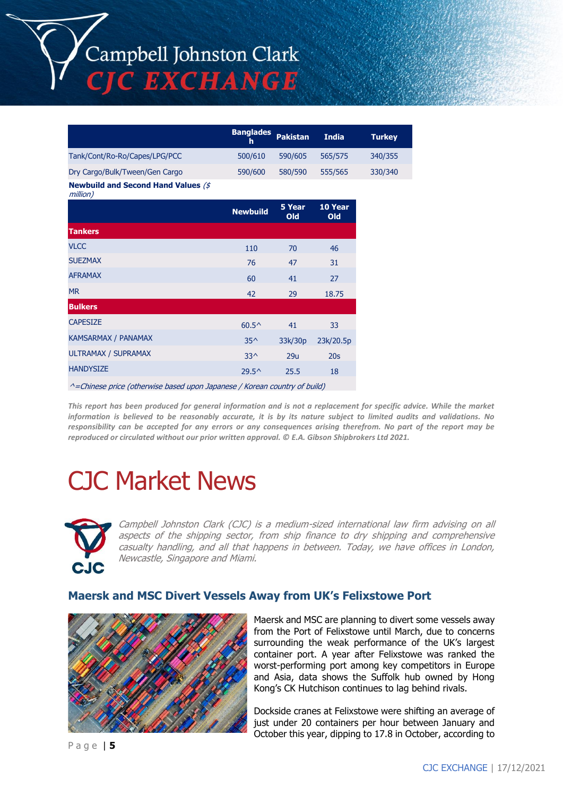Campbell Johnston Clark **CJC EXCHANGE** 

|                                                        | <b>Banglades</b><br>h | <b>Pakistan</b> | <b>India</b>          |
|--------------------------------------------------------|-----------------------|-----------------|-----------------------|
| Tank/Cont/Ro-Ro/Capes/LPG/PCC                          | 500/610               | 590/605         | 565/575               |
| Dry Cargo/Bulk/Tween/Gen Cargo                         | 590/600               | 580/590         | 555/565               |
| <b>Newbuild and Second Hand Values (\$</b><br>million) |                       |                 |                       |
|                                                        | <b>Newbuild</b>       | 5 Year<br>Old   | 10 Year<br><b>Old</b> |
| <b>Tankers</b>                                         |                       |                 |                       |
| <b>VLCC</b>                                            | 110                   | 70              | 46                    |
| <b>SUEZMAX</b>                                         | 76                    | 47              | 31                    |
| <b>AFRAMAX</b>                                         | 60                    | 41              | 27                    |
| <b>MR</b>                                              | 42                    | 29              | 18.75                 |
| <b>Bulkers</b>                                         |                       |                 |                       |
| <b>CAPESIZE</b>                                        | $60.5^{\circ}$        | 41              | 33                    |
| KAMSARMAX / PANAMAX                                    | $35^{\wedge}$         | 33k/30p         | 23k/20.5p             |
| <b>ULTRAMAX / SUPRAMAX</b>                             | $33^$                 | 29u             | 20s                   |

^=Chinese price (otherwise based upon Japanese / Korean country of build)

 $HANDYSIZE$  29.5^ 25.5 18

*This report has been produced for general information and is not a replacement for specific advice. While the market information is believed to be reasonably accurate, it is by its nature subject to limited audits and validations. No responsibility can be accepted for any errors or any consequences arising therefrom. No part of the report may be reproduced or circulated without our prior written approval. © E.A. Gibson Shipbrokers Ltd 2021.*

# CJC Market News



Campbell Johnston Clark (CJC) is a medium-sized international law firm advising on all aspects of the shipping sector, from ship finance to dry shipping and comprehensive casualty handling, and all that happens in between. Today, we have offices in London, Newcastle, Singapore and Miami.

#### **Maersk and MSC Divert Vessels Away from UK's Felixstowe Port**



Maersk and MSC are planning to divert some vessels away from the Port of Felixstowe until March, due to concerns surrounding the weak performance of the UK's largest container port. A year after Felixstowe was ranked the worst-performing port among key competitors in Europe and Asia, data shows the Suffolk hub owned by Hong Kong's CK Hutchison continues to lag behind rivals.

Dockside cranes at Felixstowe were shifting an average of just under 20 containers per hour between January and October this year, dipping to 17.8 in October, according to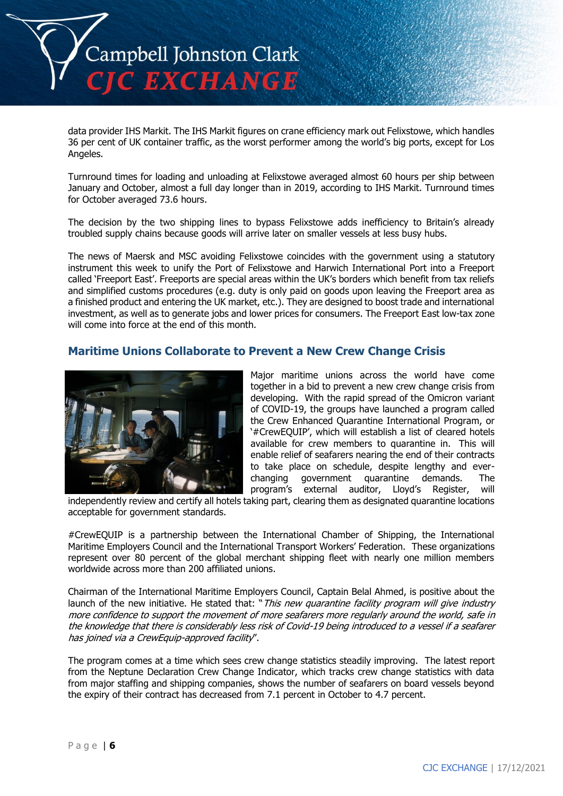

data provider IHS Markit. The IHS Markit figures on crane efficiency mark out Felixstowe, which handles 36 per cent of UK container traffic, as the worst performer among the world's big ports, except for Los Angeles.

Turnround times for loading and unloading at Felixstowe averaged almost 60 hours per ship between January and October, almost a full day longer than in 2019, according to IHS Markit. Turnround times for October averaged 73.6 hours.

The decision by the two shipping lines to bypass Felixstowe adds inefficiency to Britain's already troubled supply chains because goods will arrive later on smaller vessels at less busy hubs.

The news of Maersk and MSC avoiding Felixstowe coincides with the government using a statutory instrument this week to unify the Port of Felixstowe and Harwich International Port into a Freeport called 'Freeport East'. Freeports are special areas within the UK's borders which benefit from tax reliefs and simplified customs procedures (e.g. duty is only paid on goods upon leaving the Freeport area as a finished product and entering the UK market, etc.). They are designed to boost trade and international investment, as well as to generate jobs and lower prices for consumers. The Freeport East low-tax zone will come into force at the end of this month.

## **Maritime Unions Collaborate to Prevent a New Crew Change Crisis**



Major maritime unions across the world have come together in a bid to prevent a new crew change crisis from developing. With the rapid spread of the Omicron variant of COVID-19, the groups have launched a program called the Crew Enhanced Quarantine International Program, or '#CrewEQUIP', which will establish a list of cleared hotels available for crew members to quarantine in. This will enable relief of seafarers nearing the end of their contracts to take place on schedule, despite lengthy and everchanging government quarantine demands. The program's external auditor, Lloyd's Register, will

independently review and certify all hotels taking part, clearing them as designated quarantine locations acceptable for government standards.

#CrewEQUIP is a partnership between the International Chamber of Shipping, the International Maritime Employers Council and the International Transport Workers' Federation. These organizations represent over 80 percent of the global merchant shipping fleet with nearly one million members worldwide across more than 200 affiliated unions.

Chairman of the International Maritime Employers Council, Captain Belal Ahmed, is positive about the launch of the new initiative. He stated that: "This new quarantine facility program will give industry more confidence to support the movement of more seafarers more regularly around the world, safe in the knowledge that there is considerably less risk of Covid-19 being introduced to a vessel if a seafarer has joined via a CrewEquip-approved facility".

The program comes at a time which sees crew change statistics steadily improving. The latest report from the Neptune Declaration Crew Change Indicator, which tracks crew change statistics with data from major staffing and shipping companies, shows the number of seafarers on board vessels beyond the expiry of their contract has decreased from 7.1 percent in October to 4.7 percent.